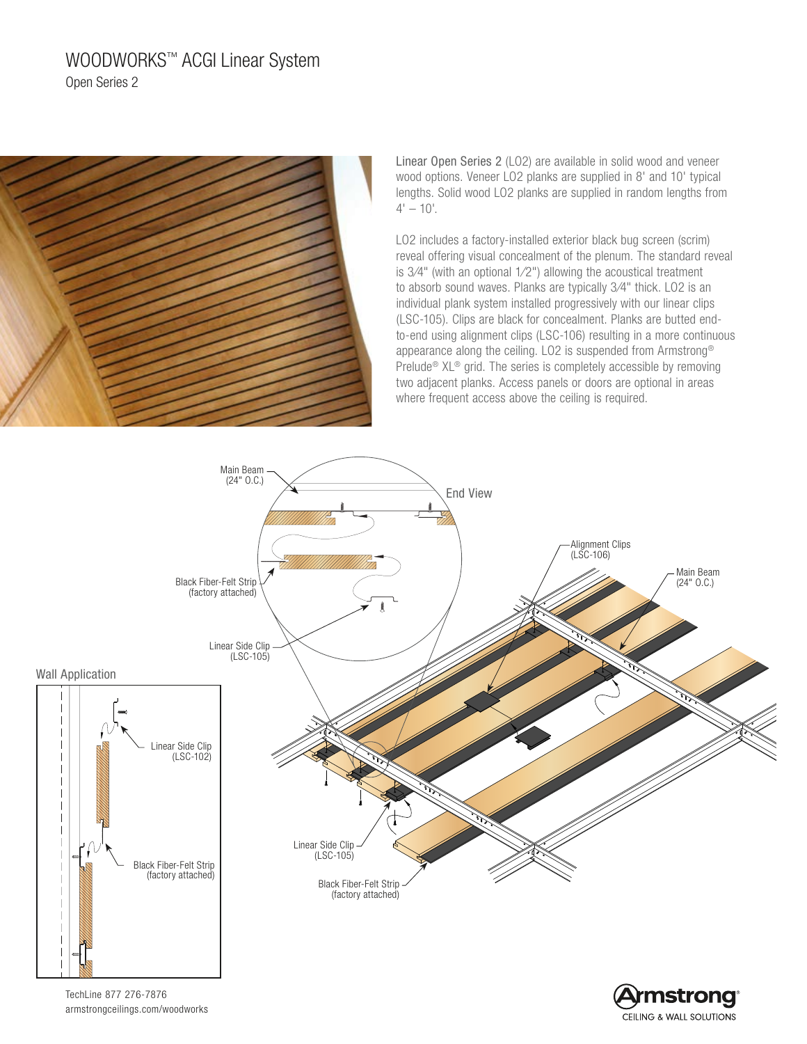# WOODWORKS™ ACGI Linear System Open Series 2



Linear Open Series 2 (LO2) are available in solid wood and veneer wood options. Veneer LO2 planks are supplied in 8' and 10' typical lengths. Solid wood LO2 planks are supplied in random lengths from  $4' - 10'$ .

LO2 includes a factory-installed exterior black bug screen (scrim) reveal offering visual concealment of the plenum. The standard reveal is 3⁄4" (with an optional 1⁄2") allowing the acoustical treatment to absorb sound waves. Planks are typically 3⁄4" thick. LO2 is an individual plank system installed progressively with our linear clips (LSC-105). Clips are black for concealment. Planks are butted endto-end using alignment clips (LSC-106) resulting in a more continuous appearance along the ceiling. LO2 is suspended from Armstrong® Prelude® XL® grid. The series is completely accessible by removing two adjacent planks. Access panels or doors are optional in areas where frequent access above the ceiling is required.

CEILING & WALL SOLUTIONS



armstrongceilings.com/woodworks